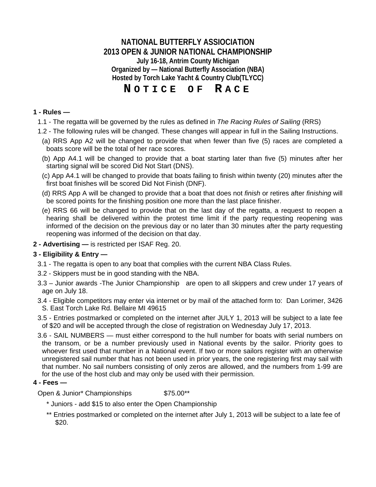**NATIONAL BUTTERFLY ASSIOCIATION 2013 OPEN & JUNIOR NATIONAL CHAMPIONSHIP July 16-18, Antrim County Michigan Organized by — National Butterfly Association (NBA) Hosted by Torch Lake Yacht & Country Club(TLYCC)**

# **N OTICE OF R ACE**

#### **1 - Rules —**

- 1.1 The regatta will be governed by the rules as defined in *The Racing Rules of Sailing* (RRS)
- 1.2 The following rules will be changed. These changes will appear in full in the Sailing Instructions.
- (a) RRS App A2 will be changed to provide that when fewer than five (5) races are completed a boats score will be the total of her race scores.
- (b) App A4.1 will be changed to provide that a boat starting later than five (5) minutes after her starting signal will be scored Did Not Start (DNS).
- (c) App A4.1 will be changed to provide that boats failing to finish within twenty (20) minutes after the first boat finishes will be scored Did Not Finish (DNF).
- (d) RRS App A will be changed to provide that a boat that does not *finish* or retires after *finishing* will be scored points for the finishing position one more than the last place finisher.
- (e) RRS 66 will be changed to provide that on the last day of the regatta, a request to reopen a hearing shall be delivered within the protest time limit if the party requesting reopening was informed of the decision on the previous day or no later than 30 minutes after the party requesting reopening was informed of the decision on that day.
- **2 Advertising —** is restricted per ISAF Reg. 20.

#### **3 - Eligibility & Entry —**

- 3.1 The regatta is open to any boat that complies with the current NBA Class Rules.
- 3.2 Skippers must be in good standing with the NBA.
- 3.3 Junior awards -The Junior Championship are open to all skippers and crew under 17 years of age on July 18.
- 3.4 Eligible competitors may enter via internet or by mail of the attached form to: Dan Lorimer, 3426 S. East Torch Lake Rd. Bellaire MI 49615
- 3.5 Entries postmarked or completed on the internet after JULY 1, 2013 will be subject to a late fee of \$20 and will be accepted through the close of registration on Wednesday July 17, 2013.
- 3.6 SAIL NUMBERS must either correspond to the hull number for boats with serial numbers on the transom, or be a number previously used in National events by the sailor. Priority goes to whoever first used that number in a National event. If two or more sailors register with an otherwise unregistered sail number that has not been used in prior years, the one registering first may sail with that number. No sail numbers consisting of only zeros are allowed, and the numbers from 1-99 are for the use of the host club and may only be used with their permission.

#### **4 - Fees —**

Open & Junior\* Championships  $$75.00**$ 

- \* Juniors add \$15 to also enter the Open Championship
- \*\* Entries postmarked or completed on the internet after July 1, 2013 will be subject to a late fee of \$20.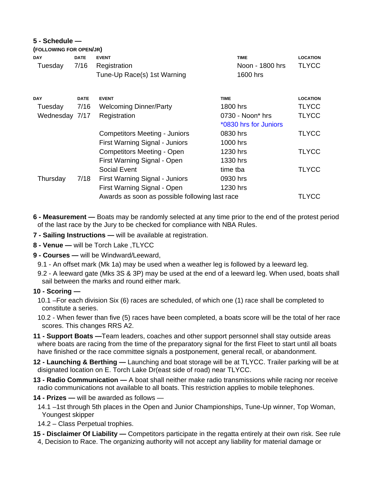### **5 - Schedule —**

| (FOLLOWING FOR OPEN/JR) |             |                                                |                       |                 |
|-------------------------|-------------|------------------------------------------------|-----------------------|-----------------|
| <b>DAY</b>              | <b>DATE</b> | <b>EVENT</b>                                   | <b>TIME</b>           | <b>LOCATION</b> |
| Tuesday                 | 7/16        | Registration                                   | Noon - 1800 hrs       | <b>TLYCC</b>    |
|                         |             | Tune-Up Race(s) 1st Warning                    | 1600 hrs              |                 |
| <b>DAY</b>              | <b>DATE</b> | <b>EVENT</b>                                   | <b>TIME</b>           | <b>LOCATION</b> |
| Tuesday                 | 7/16        | <b>Welcoming Dinner/Party</b>                  | 1800 hrs              | <b>TLYCC</b>    |
| Wednesday 7/17          |             | Registration                                   | 0730 - Noon* hrs      | <b>TLYCC</b>    |
|                         |             |                                                | *0830 hrs for Juniors |                 |
|                         |             | <b>Competitors Meeting - Juniors</b>           | 0830 hrs              | <b>TLYCC</b>    |
|                         |             | First Warning Signal - Juniors                 | 1000 hrs              |                 |
|                         |             | <b>Competitors Meeting - Open</b>              | 1230 hrs              | <b>TLYCC</b>    |
|                         |             | First Warning Signal - Open                    | 1330 hrs              |                 |
|                         |             | <b>Social Event</b>                            | time tba              | <b>TLYCC</b>    |
| Thursday                | 7/18        | First Warning Signal - Juniors                 | 0930 hrs              |                 |
|                         |             | First Warning Signal - Open                    | 1230 hrs              |                 |
|                         |             | Awards as soon as possible following last race |                       | TLYCC           |

- **6 Measurement** Boats may be randomly selected at any time prior to the end of the protest period of the last race by the Jury to be checked for compliance with NBA Rules.
- **7 Sailing Instructions** will be available at registration.
- **8 Venue** will be Torch Lake ,TLYCC
- **9 Courses** will be Windward/Leeward,
	- 9.1 An offset mark (Mk 1a) may be used when a weather leg is followed by a leeward leg.
	- 9.2 A leeward gate (Mks 3S & 3P) may be used at the end of a leeward leg. When used, boats shall sail between the marks and round either mark.

#### **10 - Scoring —**

- 10.1 –For each division Six (6) races are scheduled, of which one (1) race shall be completed to constitute a series.
- 10.2 When fewer than five (5) races have been completed, a boats score will be the total of her race scores. This changes RRS A2.
- **11 Support Boats —**Team leaders, coaches and other support personnel shall stay outside areas where boats are racing from the time of the preparatory signal for the first Fleet to start until all boats have finished or the race committee signals a postponement, general recall, or abandonment.
- **12 Launching & Berthing** Launching and boat storage will be at TLYCC. Trailer parking will be at disignated location on E. Torch Lake Dr(east side of road) near TLYCC.
- **13 Radio Communication** A boat shall neither make radio transmissions while racing nor receive radio communications not available to all boats. This restriction applies to mobile telephones.
- **14 Prizes** will be awarded as follows
	- 14.1 –1st through 5th places in the Open and Junior Championships, Tune-Up winner, Top Woman, Youngest skipper
	- 14.2 Class Perpetual trophies.
- **15 Disclaimer Of Liability —** Competitors participate in the regatta entirely at their own risk. See rule
- 4, Decision to Race. The organizing authority will not accept any liability for material damage or